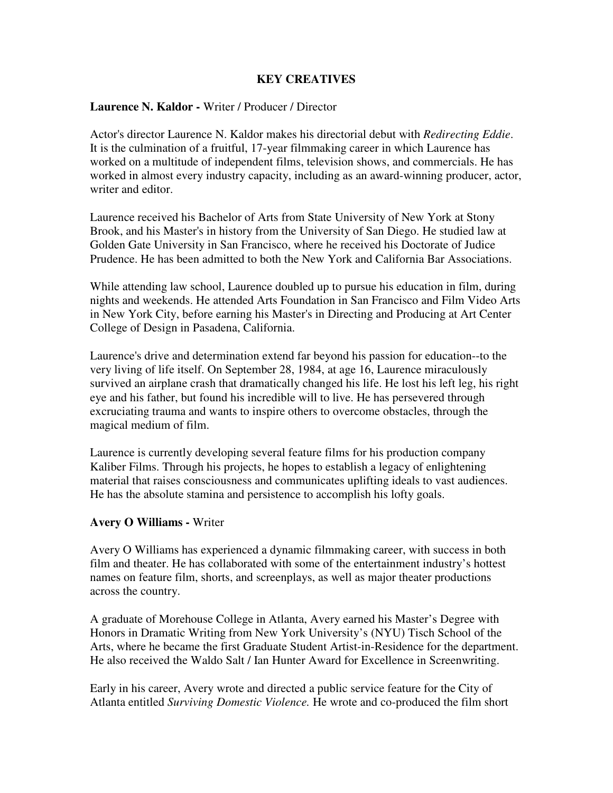## **KEY CREATIVES**

#### **Laurence N. Kaldor -** Writer / Producer / Director

Actor's director Laurence N. Kaldor makes his directorial debut with *Redirecting Eddie*. It is the culmination of a fruitful, 17-year filmmaking career in which Laurence has worked on a multitude of independent films, television shows, and commercials. He has worked in almost every industry capacity, including as an award-winning producer, actor, writer and editor.

Laurence received his Bachelor of Arts from State University of New York at Stony Brook, and his Master's in history from the University of San Diego. He studied law at Golden Gate University in San Francisco, where he received his Doctorate of Judice Prudence. He has been admitted to both the New York and California Bar Associations.

While attending law school, Laurence doubled up to pursue his education in film, during nights and weekends. He attended Arts Foundation in San Francisco and Film Video Arts in New York City, before earning his Master's in Directing and Producing at Art Center College of Design in Pasadena, California.

Laurence's drive and determination extend far beyond his passion for education--to the very living of life itself. On September 28, 1984, at age 16, Laurence miraculously survived an airplane crash that dramatically changed his life. He lost his left leg, his right eye and his father, but found his incredible will to live. He has persevered through excruciating trauma and wants to inspire others to overcome obstacles, through the magical medium of film.

Laurence is currently developing several feature films for his production company Kaliber Films. Through his projects, he hopes to establish a legacy of enlightening material that raises consciousness and communicates uplifting ideals to vast audiences. He has the absolute stamina and persistence to accomplish his lofty goals.

## **Avery O Williams -** Writer

Avery O Williams has experienced a dynamic filmmaking career, with success in both film and theater. He has collaborated with some of the entertainment industry's hottest names on feature film, shorts, and screenplays, as well as major theater productions across the country.

A graduate of Morehouse College in Atlanta, Avery earned his Master's Degree with Honors in Dramatic Writing from New York University's (NYU) Tisch School of the Arts, where he became the first Graduate Student Artist-in-Residence for the department. He also received the Waldo Salt / Ian Hunter Award for Excellence in Screenwriting.

Early in his career, Avery wrote and directed a public service feature for the City of Atlanta entitled *Surviving Domestic Violence.* He wrote and co-produced the film short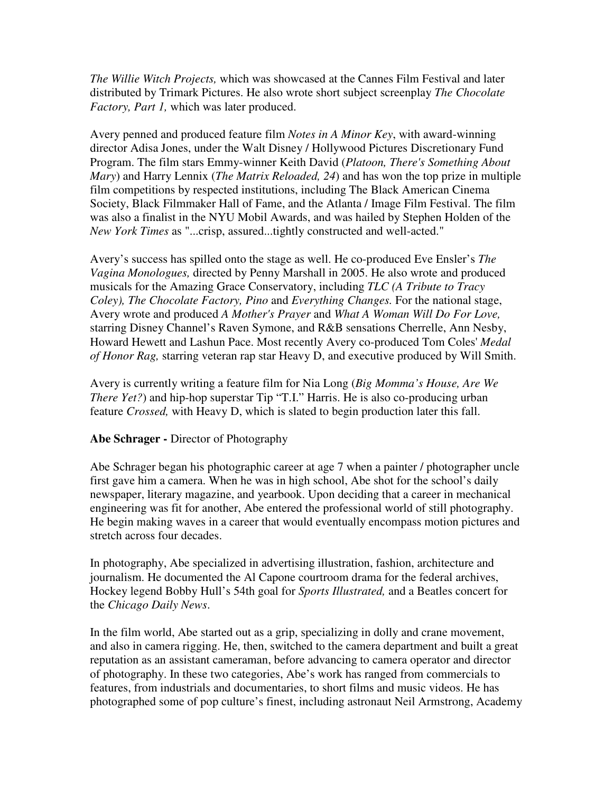*The Willie Witch Projects,* which was showcased at the Cannes Film Festival and later distributed by Trimark Pictures. He also wrote short subject screenplay *The Chocolate Factory, Part 1,* which was later produced.

Avery penned and produced feature film *Notes in A Minor Key*, with award-winning director Adisa Jones, under the Walt Disney / Hollywood Pictures Discretionary Fund Program. The film stars Emmy-winner Keith David (*Platoon, There's Something About Mary*) and Harry Lennix (*The Matrix Reloaded, 24*) and has won the top prize in multiple film competitions by respected institutions, including The Black American Cinema Society, Black Filmmaker Hall of Fame, and the Atlanta / Image Film Festival. The film was also a finalist in the NYU Mobil Awards, and was hailed by Stephen Holden of the *New York Times* as "...crisp, assured...tightly constructed and well-acted."

Avery's success has spilled onto the stage as well. He co-produced Eve Ensler's *The Vagina Monologues,* directed by Penny Marshall in 2005. He also wrote and produced musicals for the Amazing Grace Conservatory, including *TLC (A Tribute to Tracy Coley), The Chocolate Factory, Pino* and *Everything Changes.* For the national stage, Avery wrote and produced *A Mother's Prayer* and *What A Woman Will Do For Love,* starring Disney Channel's Raven Symone, and R&B sensations Cherrelle, Ann Nesby, Howard Hewett and Lashun Pace. Most recently Avery co-produced Tom Coles' *Medal of Honor Rag,* starring veteran rap star Heavy D, and executive produced by Will Smith.

Avery is currently writing a feature film for Nia Long (*Big Momma's House, Are We There Yet?*) and hip-hop superstar Tip "T.I." Harris. He is also co-producing urban feature *Crossed,* with Heavy D, which is slated to begin production later this fall.

## **Abe Schrager -** Director of Photography

Abe Schrager began his photographic career at age 7 when a painter / photographer uncle first gave him a camera. When he was in high school, Abe shot for the school's daily newspaper, literary magazine, and yearbook. Upon deciding that a career in mechanical engineering was fit for another, Abe entered the professional world of still photography. He begin making waves in a career that would eventually encompass motion pictures and stretch across four decades.

In photography, Abe specialized in advertising illustration, fashion, architecture and journalism. He documented the Al Capone courtroom drama for the federal archives, Hockey legend Bobby Hull's 54th goal for *Sports Illustrated,* and a Beatles concert for the *Chicago Daily News*.

In the film world, Abe started out as a grip, specializing in dolly and crane movement, and also in camera rigging. He, then, switched to the camera department and built a great reputation as an assistant cameraman, before advancing to camera operator and director of photography. In these two categories, Abe's work has ranged from commercials to features, from industrials and documentaries, to short films and music videos. He has photographed some of pop culture's finest, including astronaut Neil Armstrong, Academy